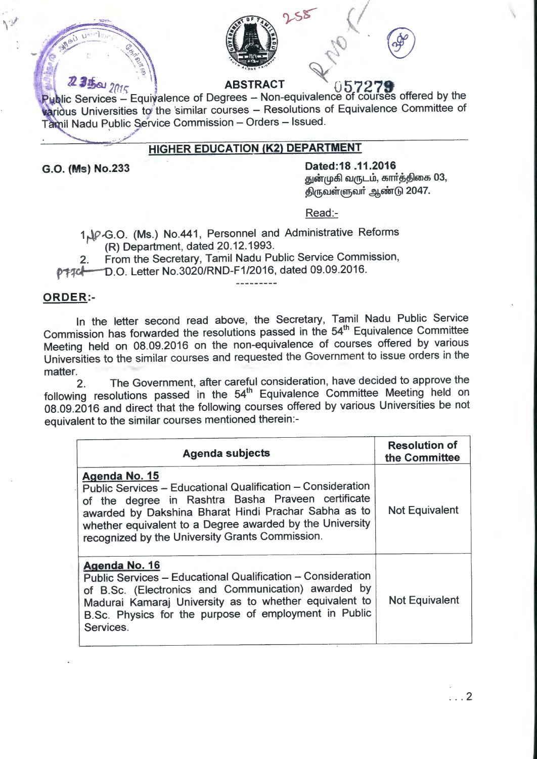

**2.3 bai**  $2015$  **ABSTRACT 05.7278** Public Services – Equivalence of Degrees – Non-equivalence of courses offered by the various Universities to the similar courses - Resolutions of Equivalence Committee of Tamil Nadu Public Service Commission - Orders - Issued.

## **HIGHER EDUCATION (K2) DEPARTMENT**

**G.O. (Ms) No.233 Dated:18 .11.2016**  துன்முகி வருடம், கார்த்திகை 03, திருவள்ளுவர் ஆண்டு 2047.

Read:-

1 AP-G.O. (Ms.) No.441, Personnel and Administrative Reforms (R) Department, dated 20.12.1993.

2. From the Secretary, Tamil Nadu Public Service Commission,

p+7cl-D.O. Letter No.3020/RND-F1/2016, dated 09.09.2016.

---------

#### **ORDER:-**

In the letter second read above, the Secretary, Tamil Nadu Public Service Commission has forwarded the resolutions passed in the 54<sup>th</sup> Equivalence Committee Meeting held on 08.09.2016 on the non-equivalence of courses offered by various Universities to the similar courses and requested the Government to issue orders in the matter.

2. The Government, after careful consideration, have decided to approve the following resolutions passed in the 54<sup>th</sup> Equivalence Committee Meeting held on 08.09.2016 and direct that the following courses offered by various Universities be not equivalent to the similar courses mentioned therein:-

| <b>Agenda subjects</b>                                                                                                                                                                                                                                                                                    | <b>Resolution of</b><br>the Committee |
|-----------------------------------------------------------------------------------------------------------------------------------------------------------------------------------------------------------------------------------------------------------------------------------------------------------|---------------------------------------|
| Agenda No. 15<br>Public Services - Educational Qualification - Consideration<br>of the degree in Rashtra Basha Praveen certificate<br>awarded by Dakshina Bharat Hindi Prachar Sabha as to<br>whether equivalent to a Degree awarded by the University<br>recognized by the University Grants Commission. | <b>Not Equivalent</b>                 |
| Agenda No. 16<br>Public Services - Educational Qualification - Consideration<br>of B.Sc. (Electronics and Communication) awarded by<br>Madurai Kamaraj University as to whether equivalent to<br>B.Sc. Physics for the purpose of employment in Public<br>Services.                                       | <b>Not Equivalent</b>                 |